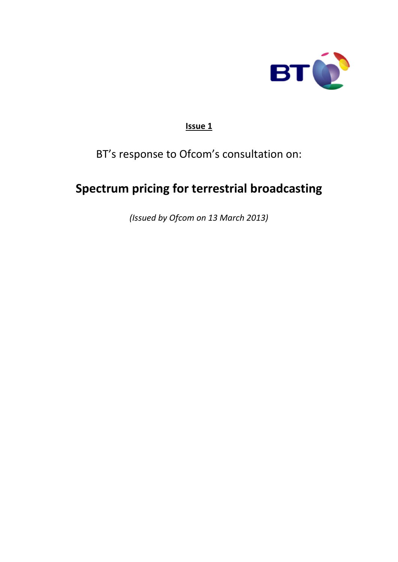

### **Issue 1**

## BT's response to Ofcom's consultation on:

# **Spectrum pricing for terrestrial broadcasting**

*(Issued by Ofcom on 13 March 2013)*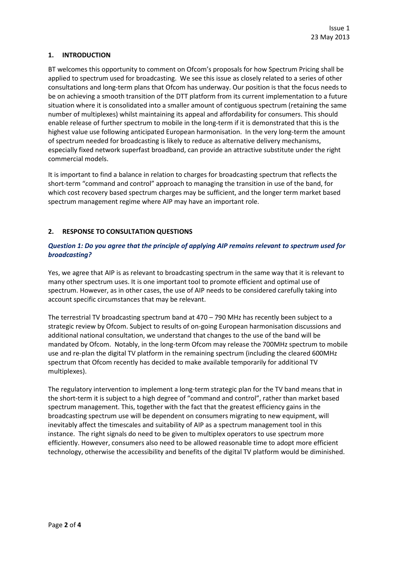#### **1. INTRODUCTION**

BT welcomes this opportunity to comment on Ofcom's proposals for how Spectrum Pricing shall be applied to spectrum used for broadcasting. We see this issue as closely related to a series of other consultations and long-term plans that Ofcom has underway. Our position is that the focus needs to be on achieving a smooth transition of the DTT platform from its current implementation to a future situation where it is consolidated into a smaller amount of contiguous spectrum (retaining the same number of multiplexes) whilst maintaining its appeal and affordability for consumers. This should enable release of further spectrum to mobile in the long-term if it is demonstrated that this is the highest value use following anticipated European harmonisation. In the very long-term the amount of spectrum needed for broadcasting is likely to reduce as alternative delivery mechanisms, especially fixed network superfast broadband, can provide an attractive substitute under the right commercial models.

It is important to find a balance in relation to charges for broadcasting spectrum that reflects the short-term "command and control" approach to managing the transition in use of the band, for which cost recovery based spectrum charges may be sufficient, and the longer term market based spectrum management regime where AIP may have an important role.

#### **2. RESPONSE TO CONSULTATION QUESTIONS**

#### *Question 1: Do you agree that the principle of applying AIP remains relevant to spectrum used for broadcasting?*

Yes, we agree that AIP is as relevant to broadcasting spectrum in the same way that it is relevant to many other spectrum uses. It is one important tool to promote efficient and optimal use of spectrum. However, as in other cases, the use of AIP needs to be considered carefully taking into account specific circumstances that may be relevant.

The terrestrial TV broadcasting spectrum band at 470 – 790 MHz has recently been subject to a strategic review by Ofcom. Subject to results of on-going European harmonisation discussions and additional national consultation, we understand that changes to the use of the band will be mandated by Ofcom. Notably, in the long-term Ofcom may release the 700MHz spectrum to mobile use and re-plan the digital TV platform in the remaining spectrum (including the cleared 600MHz spectrum that Ofcom recently has decided to make available temporarily for additional TV multiplexes).

The regulatory intervention to implement a long-term strategic plan for the TV band means that in the short-term it is subject to a high degree of "command and control", rather than market based spectrum management. This, together with the fact that the greatest efficiency gains in the broadcasting spectrum use will be dependent on consumers migrating to new equipment, will inevitably affect the timescales and suitability of AIP as a spectrum management tool in this instance. The right signals do need to be given to multiplex operators to use spectrum more efficiently. However, consumers also need to be allowed reasonable time to adopt more efficient technology, otherwise the accessibility and benefits of the digital TV platform would be diminished.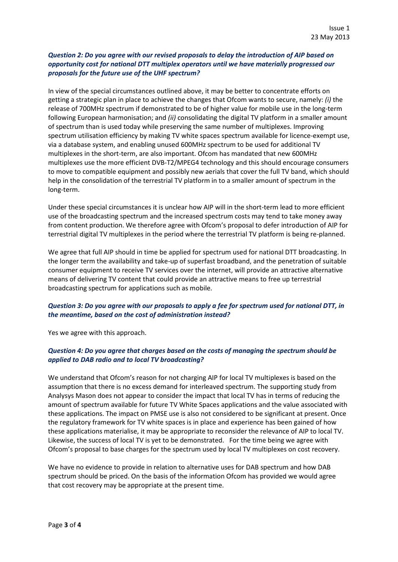#### *Question 2: Do you agree with our revised proposals to delay the introduction of AIP based on opportunity cost for national DTT multiplex operators until we have materially progressed our proposals for the future use of the UHF spectrum?*

In view of the special circumstances outlined above, it may be better to concentrate efforts on getting a strategic plan in place to achieve the changes that Ofcom wants to secure, namely: *(i)* the release of 700MHz spectrum if demonstrated to be of higher value for mobile use in the long-term following European harmonisation; and *(ii)* consolidating the digital TV platform in a smaller amount of spectrum than is used today while preserving the same number of multiplexes. Improving spectrum utilisation efficiency by making TV white spaces spectrum available for licence-exempt use, via a database system, and enabling unused 600MHz spectrum to be used for additional TV multiplexes in the short-term, are also important. Ofcom has mandated that new 600MHz multiplexes use the more efficient DVB-T2/MPEG4 technology and this should encourage consumers to move to compatible equipment and possibly new aerials that cover the full TV band, which should help in the consolidation of the terrestrial TV platform in to a smaller amount of spectrum in the long-term.

Under these special circumstances it is unclear how AIP will in the short-term lead to more efficient use of the broadcasting spectrum and the increased spectrum costs may tend to take money away from content production. We therefore agree with Ofcom's proposal to defer introduction of AIP for terrestrial digital TV multiplexes in the period where the terrestrial TV platform is being re-planned.

We agree that full AIP should in time be applied for spectrum used for national DTT broadcasting. In the longer term the availability and take-up of superfast broadband, and the penetration of suitable consumer equipment to receive TV services over the internet, will provide an attractive alternative means of delivering TV content that could provide an attractive means to free up terrestrial broadcasting spectrum for applications such as mobile.

#### *Question 3: Do you agree with our proposals to apply a fee for spectrum used for national DTT, in the meantime, based on the cost of administration instead?*

Yes we agree with this approach.

#### *Question 4: Do you agree that charges based on the costs of managing the spectrum should be applied to DAB radio and to local TV broadcasting?*

We understand that Ofcom's reason for not charging AIP for local TV multiplexes is based on the assumption that there is no excess demand for interleaved spectrum. The supporting study from Analysys Mason does not appear to consider the impact that local TV has in terms of reducing the amount of spectrum available for future TV White Spaces applications and the value associated with these applications. The impact on PMSE use is also not considered to be significant at present. Once the regulatory framework for TV white spaces is in place and experience has been gained of how these applications materialise, it may be appropriate to reconsider the relevance of AIP to local TV. Likewise, the success of local TV is yet to be demonstrated. For the time being we agree with Ofcom's proposal to base charges for the spectrum used by local TV multiplexes on cost recovery.

We have no evidence to provide in relation to alternative uses for DAB spectrum and how DAB spectrum should be priced. On the basis of the information Ofcom has provided we would agree that cost recovery may be appropriate at the present time.